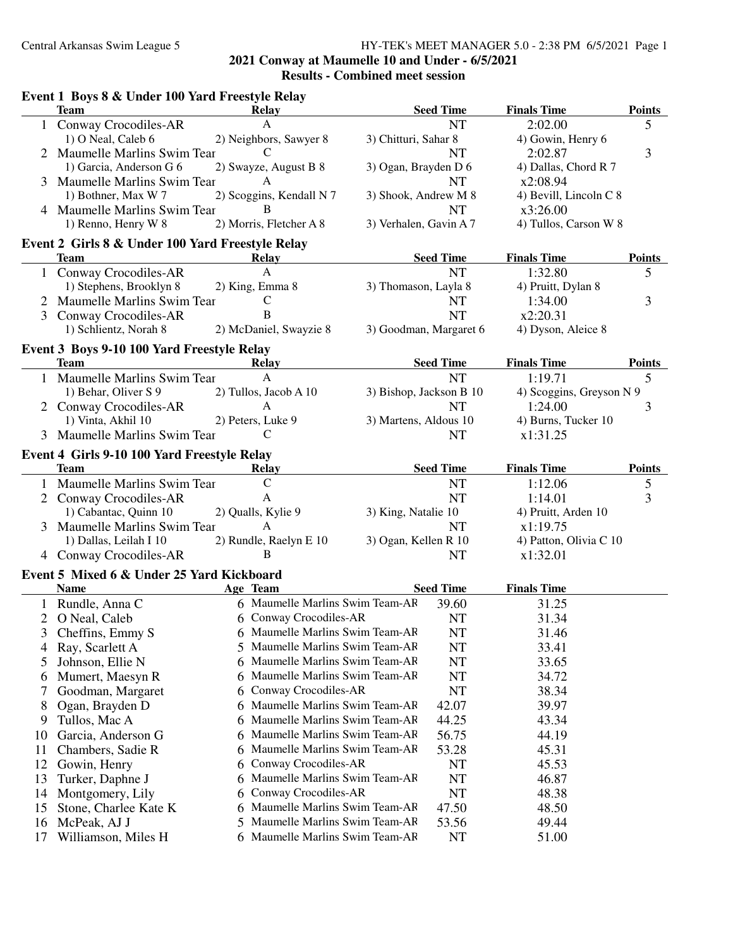**2021 Conway at Maumelle 10 and Under - 6/5/2021**

**Results - Combined meet session**

|                | Event 1 Boys 8 & Under 100 Yard Freestyle Relay<br><b>Team</b>  | <b>Relay</b>                        |                         | <b>Seed Time</b> | <b>Finals Time</b>       | <b>Points</b> |
|----------------|-----------------------------------------------------------------|-------------------------------------|-------------------------|------------------|--------------------------|---------------|
|                | 1 Conway Crocodiles-AR                                          | $\mathbf{A}$                        |                         | <b>NT</b>        | 2:02.00                  | 5             |
|                | 1) O Neal, Caleb 6                                              | 2) Neighbors, Sawyer 8              | 3) Chitturi, Sahar 8    |                  | 4) Gowin, Henry 6        |               |
|                | 2 Maumelle Marlins Swim Tear                                    | C                                   |                         | <b>NT</b>        | 2:02.87                  | 3             |
|                | 1) Garcia, Anderson G 6                                         | 2) Swayze, August B 8               | 3) Ogan, Brayden D 6    |                  | 4) Dallas, Chord R 7     |               |
|                | 3 Maumelle Marlins Swim Tear                                    | $\mathbf{A}$                        |                         | <b>NT</b>        | x2:08.94                 |               |
|                | 1) Bothner, Max W 7                                             | 2) Scoggins, Kendall N 7            | 3) Shook, Andrew M 8    |                  | 4) Bevill, Lincoln C 8   |               |
|                | 4 Maumelle Marlins Swim Tear                                    | B                                   |                         | <b>NT</b>        | x3:26.00                 |               |
|                | 1) Renno, Henry W 8                                             | 2) Morris, Fletcher A 8             | 3) Verhalen, Gavin A 7  |                  | 4) Tullos, Carson W 8    |               |
|                |                                                                 |                                     |                         |                  |                          |               |
|                | Event 2 Girls 8 & Under 100 Yard Freestyle Relay<br><b>Team</b> | Relay                               |                         | <b>Seed Time</b> | <b>Finals Time</b>       | <b>Points</b> |
|                |                                                                 | A                                   |                         | <b>NT</b>        | 1:32.80                  |               |
| $\mathbf{1}$   | Conway Crocodiles-AR                                            |                                     |                         |                  |                          | 5             |
|                | 1) Stephens, Brooklyn 8                                         | 2) King, Emma 8                     | 3) Thomason, Layla 8    |                  | 4) Pruitt, Dylan 8       |               |
|                | Maumelle Marlins Swim Tear                                      | $\mathsf{C}$                        |                         | NT               | 1:34.00                  | 3             |
| 3              | Conway Crocodiles-AR                                            | B                                   |                         | <b>NT</b>        | x2:20.31                 |               |
|                | 1) Schlientz, Norah 8                                           | 2) McDaniel, Swayzie 8              | 3) Goodman, Margaret 6  |                  | 4) Dyson, Aleice 8       |               |
|                | Event 3 Boys 9-10 100 Yard Freestyle Relay                      |                                     |                         |                  |                          |               |
|                | <b>Team</b>                                                     | Relay                               |                         | <b>Seed Time</b> | <b>Finals Time</b>       | <b>Points</b> |
|                | 1 Maumelle Marlins Swim Tear                                    | $\mathbf{A}$                        |                         | <b>NT</b>        | 1:19.71                  | 5             |
|                | 1) Behar, Oliver S 9                                            | 2) Tullos, Jacob A 10               | 3) Bishop, Jackson B 10 |                  | 4) Scoggins, Greyson N 9 |               |
|                | 2 Conway Crocodiles-AR                                          | $\mathbf{A}$                        |                         | <b>NT</b>        | 1:24.00                  | 3             |
|                | 1) Vinta, Akhil 10                                              | 2) Peters, Luke 9                   | 3) Martens, Aldous 10   |                  | 4) Burns, Tucker 10      |               |
|                | 3 Maumelle Marlins Swim Tear                                    | $\mathcal{C}$                       |                         | <b>NT</b>        | x1:31.25                 |               |
|                | Event 4 Girls 9-10 100 Yard Freestyle Relay                     |                                     |                         |                  |                          |               |
|                | <b>Team</b>                                                     | <b>Relay</b>                        |                         | <b>Seed Time</b> | <b>Finals Time</b>       | <b>Points</b> |
|                | 1 Maumelle Marlins Swim Tear                                    | $\mathsf{C}$                        |                         | <b>NT</b>        | 1:12.06                  | 5             |
|                | 2 Conway Crocodiles-AR                                          | $\mathbf{A}$                        |                         | <b>NT</b>        | 1:14.01                  | 3             |
|                | 1) Cabantac, Quinn 10                                           | 2) Qualls, Kylie 9                  | 3) King, Natalie 10     |                  | 4) Pruitt, Arden 10      |               |
|                | 3 Maumelle Marlins Swim Tear                                    | $\mathbf{A}$                        |                         | <b>NT</b>        | x1:19.75                 |               |
|                | 1) Dallas, Leilah I 10                                          | 2) Rundle, Raelyn E 10              | 3) Ogan, Kellen R 10    |                  | 4) Patton, Olivia C 10   |               |
|                | 4 Conway Crocodiles-AR                                          | B                                   |                         | <b>NT</b>        | x1:32.01                 |               |
|                |                                                                 |                                     |                         |                  |                          |               |
|                | Event 5 Mixed 6 & Under 25 Yard Kickboard                       |                                     |                         |                  |                          |               |
|                | <b>Name</b>                                                     | Age Team                            |                         | <b>Seed Time</b> | <b>Finals Time</b>       |               |
|                | Rundle, Anna C                                                  | 6 Maumelle Marlins Swim Team-AF     |                         | 39.60            | 31.25                    |               |
| $\overline{2}$ | O Neal, Caleb                                                   | 6 Conway Crocodiles-AR              |                         | <b>NT</b>        | 31.34                    |               |
| 3              | Cheffins, Emmy S                                                | 6 Maumelle Marlins Swim Team-AF     |                         | NT               | 31.46                    |               |
| 4              | Ray, Scarlett A                                                 | Maumelle Marlins Swim Team-AF<br>5. |                         | NT               | 33.41                    |               |
| 5              | Johnson, Ellie N                                                | Maumelle Marlins Swim Team-AF<br>6  |                         | NT               | 33.65                    |               |
| 6              | Mumert, Maesyn R                                                | Maumelle Marlins Swim Team-AF<br>6  |                         | NT               | 34.72                    |               |
| 7              | Goodman, Margaret                                               | Conway Crocodiles-AR<br>6           |                         | NT               | 38.34                    |               |
| 8              | Ogan, Brayden D                                                 | Maumelle Marlins Swim Team-AF<br>6  |                         | 42.07            | 39.97                    |               |
| 9              | Tullos, Mac A                                                   | Maumelle Marlins Swim Team-AF<br>6  |                         | 44.25            | 43.34                    |               |
| 10             | Garcia, Anderson G                                              | Maumelle Marlins Swim Team-AF<br>6  |                         | 56.75            | 44.19                    |               |
| 11             | Chambers, Sadie R                                               | Maumelle Marlins Swim Team-AF<br>6  |                         | 53.28            | 45.31                    |               |
| 12             | Gowin, Henry                                                    | Conway Crocodiles-AR<br>6           |                         | NT               | 45.53                    |               |
| 13             | Turker, Daphne J                                                | Maumelle Marlins Swim Team-AF<br>6  |                         | NT               | 46.87                    |               |
| 14             | Montgomery, Lily                                                | Conway Crocodiles-AR<br>6           |                         | NT               | 48.38                    |               |
|                |                                                                 | Maumelle Marlins Swim Team-AF<br>6  |                         | 47.50            | 48.50                    |               |
| 15             | Stone, Charlee Kate K                                           | Maumelle Marlins Swim Team-AF<br>5  |                         |                  |                          |               |
| 16             | McPeak, AJ J                                                    |                                     |                         | 53.56            | 49.44                    |               |
| 17             | Williamson, Miles H                                             | 6 Maumelle Marlins Swim Team-AF     |                         | NT               | 51.00                    |               |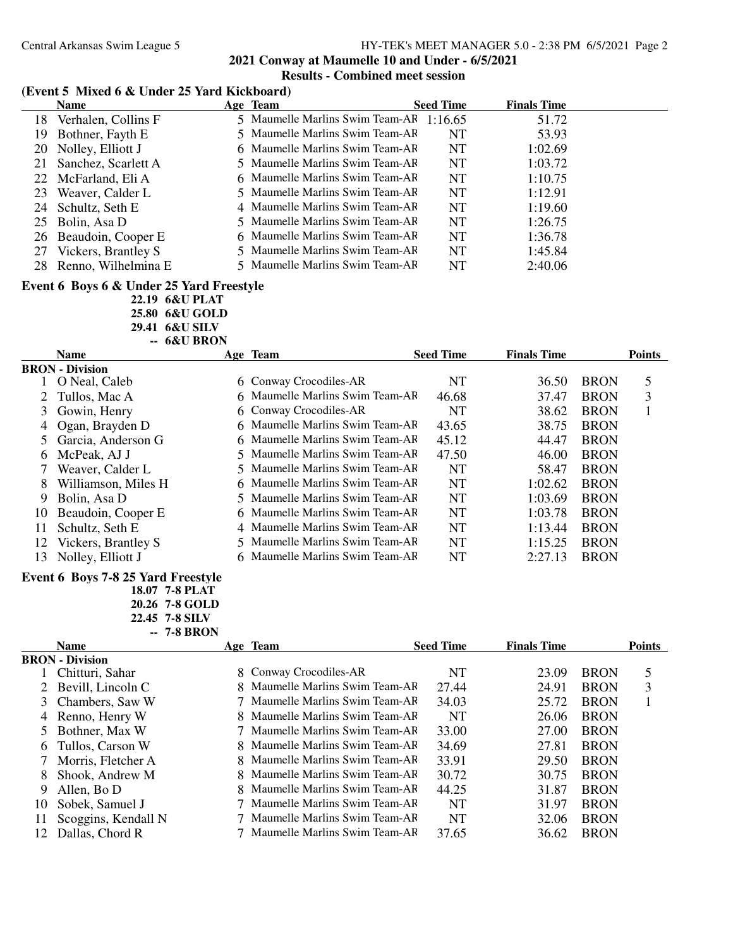#### **(Event 5 Mixed 6 & Under 25 Yard Kickboard)**

|     | <b>Name</b>           | Age Team                        | <b>Seed Time</b> | <b>Finals Time</b> |  |
|-----|-----------------------|---------------------------------|------------------|--------------------|--|
| 18. | Verhalen, Collins F   | 5 Maumelle Marlins Swim Team-AF | 1:16.65          | 51.72              |  |
| 19  | Bothner, Fayth E      | 5 Maumelle Marlins Swim Team-AF | NT               | 53.93              |  |
| 20  | Nolley, Elliott J     | 6 Maumelle Marlins Swim Team-AR | NT               | 1:02.69            |  |
| 21  | Sanchez, Scarlett A   | 5 Maumelle Marlins Swim Team-AF | NT               | 1:03.72            |  |
|     | 22 McFarland, Eli A   | 6 Maumelle Marlins Swim Team-AF | NT               | 1:10.75            |  |
| 23  | Weaver, Calder L      | 5 Maumelle Marlins Swim Team-AF | <b>NT</b>        | 1:12.91            |  |
| 24  | Schultz, Seth E       | 4 Maumelle Marlins Swim Team-AF | <b>NT</b>        | 1:19.60            |  |
| 25  | Bolin, Asa D          | 5 Maumelle Marlins Swim Team-AF | <b>NT</b>        | 1:26.75            |  |
|     | 26 Beaudoin, Cooper E | 6 Maumelle Marlins Swim Team-AF | <b>NT</b>        | 1:36.78            |  |
| 27  | Vickers, Brantley S   | 5 Maumelle Marlins Swim Team-AF | <b>NT</b>        | 1:45.84            |  |
| 28  | Renno, Wilhelmina E   | 5 Maumelle Marlins Swim Team-AF | NT               | 2:40.06            |  |

### **Event 6 Boys 6 & Under 25 Yard Freestyle**

**22.19 6&U PLAT 25.80 6&U GOLD 29.41 6&U SILV**

**-- 6&U BRON**

|    | <b>Name</b>            | Age Team                        | <b>Seed Time</b> | <b>Finals Time</b> |             | <b>Points</b> |
|----|------------------------|---------------------------------|------------------|--------------------|-------------|---------------|
|    | <b>BRON</b> - Division |                                 |                  |                    |             |               |
|    | O Neal, Caleb          | 6 Conway Crocodiles-AR          | NT               | 36.50              | <b>BRON</b> | 5             |
|    | Tullos, Mac A          | 6 Maumelle Marlins Swim Team-AF | 46.68            | 37.47              | <b>BRON</b> | 3             |
| 3  | Gowin, Henry           | 6 Conway Crocodiles-AR          | NT               | 38.62              | <b>BRON</b> |               |
|    | 4 Ogan, Brayden D      | 6 Maumelle Marlins Swim Team-AF | 43.65            | 38.75              | <b>BRON</b> |               |
|    | 5 Garcia, Anderson G   | 6 Maumelle Marlins Swim Team-AF | 45.12            | 44.47              | <b>BRON</b> |               |
| 6. | McPeak, AJ J           | 5 Maumelle Marlins Swim Team-AF | 47.50            | 46.00              | <b>BRON</b> |               |
|    | Weaver, Calder L       | 5 Maumelle Marlins Swim Team-AF | NT               | 58.47              | <b>BRON</b> |               |
| 8  | Williamson, Miles H    | 6 Maumelle Marlins Swim Team-AR | <b>NT</b>        | 1:02.62            | <b>BRON</b> |               |
| 9. | Bolin, Asa D           | 5 Maumelle Marlins Swim Team-AF | <b>NT</b>        | 1:03.69            | <b>BRON</b> |               |
| 10 | Beaudoin, Cooper E     | 6 Maumelle Marlins Swim Team-AF | NT               | 1:03.78            | <b>BRON</b> |               |
|    | Schultz, Seth E        | 4 Maumelle Marlins Swim Team-AF | <b>NT</b>        | 1:13.44            | <b>BRON</b> |               |
| 12 | Vickers, Brantley S    | 5 Maumelle Marlins Swim Team-AF | <b>NT</b>        | 1:15.25            | <b>BRON</b> |               |
| 13 | Nolley, Elliott J      | 6 Maumelle Marlins Swim Team-AR | NT               | 2:27.13            | <b>BRON</b> |               |

#### **Event 6 Boys 7-8 25 Yard Freestyle**

**18.07 7-8 PLAT 20.26 7-8 GOLD 22.45 7-8 SILV -- 7-8 BRON**

|    | <b>Name</b>            | Age Team                        | <b>Seed Time</b> | <b>Finals Time</b> |             | <b>Points</b> |
|----|------------------------|---------------------------------|------------------|--------------------|-------------|---------------|
|    | <b>BRON</b> - Division |                                 |                  |                    |             |               |
|    | Chitturi, Sahar        | 8 Conway Crocodiles-AR          | NT               | 23.09              | <b>BRON</b> | 5             |
|    | Bevill, Lincoln C      | 8 Maumelle Marlins Swim Team-AF | 27.44            | 24.91              | <b>BRON</b> | 3             |
|    | 3 Chambers, Saw W      | 7 Maumelle Marlins Swim Team-AF | 34.03            | 25.72              | <b>BRON</b> |               |
| 4  | Renno, Henry W         | 8 Maumelle Marlins Swim Team-AF | <b>NT</b>        | 26.06              | <b>BRON</b> |               |
|    | Bothner, Max W         | 7 Maumelle Marlins Swim Team-AF | 33.00            | 27.00              | <b>BRON</b> |               |
| 6  | Tullos, Carson W       | 8 Maumelle Marlins Swim Team-AF | 34.69            | 27.81              | <b>BRON</b> |               |
|    | Morris, Fletcher A     | 8 Maumelle Marlins Swim Team-AF | 33.91            | 29.50              | <b>BRON</b> |               |
| 8  | Shook, Andrew M        | 8 Maumelle Marlins Swim Team-AF | 30.72            | 30.75              | <b>BRON</b> |               |
| 9  | Allen, Bo D            | 8 Maumelle Marlins Swim Team-AF | 44.25            | 31.87              | <b>BRON</b> |               |
| 10 | Sobek, Samuel J        | 7 Maumelle Marlins Swim Team-AF | <b>NT</b>        | 31.97              | <b>BRON</b> |               |
| 11 | Scoggins, Kendall N    | 7 Maumelle Marlins Swim Team-AF | NT               | 32.06              | <b>BRON</b> |               |
|    | Dallas, Chord R        | 7 Maumelle Marlins Swim Team-AF | 37.65            | 36.62              | <b>BRON</b> |               |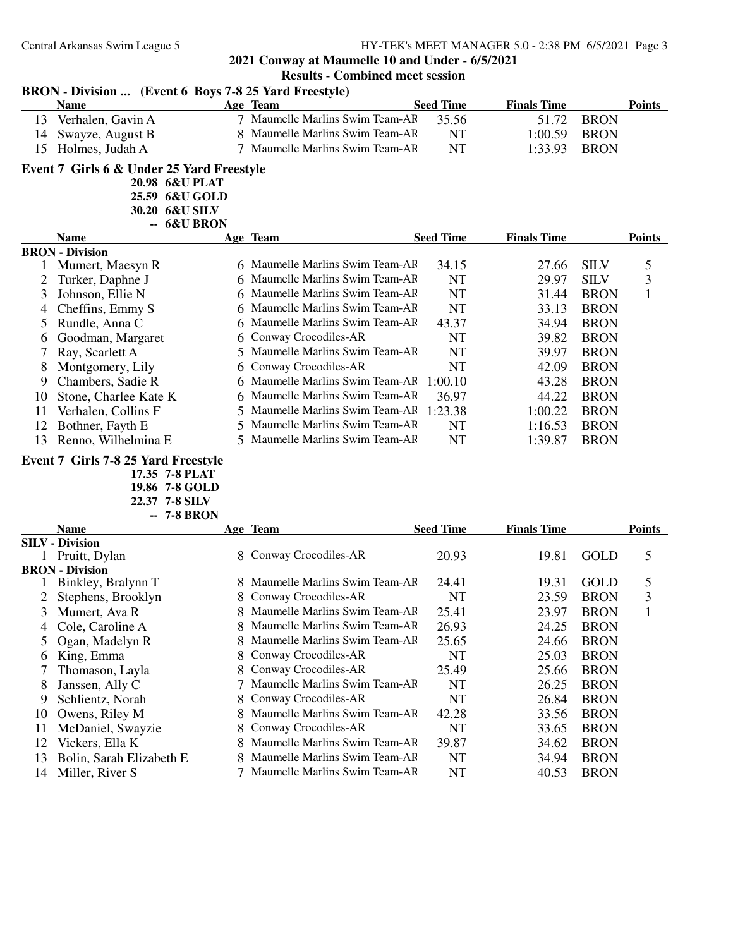|              | BRON - Division  (Event 6 Boys 7-8 25 Yard Freestyle) |                |                                 |                  |                    |             |               |
|--------------|-------------------------------------------------------|----------------|---------------------------------|------------------|--------------------|-------------|---------------|
|              | <b>Name</b>                                           |                | Age Team                        | <b>Seed Time</b> | <b>Finals Time</b> |             | <b>Points</b> |
| 13           | Verhalen, Gavin A                                     |                | 7 Maumelle Marlins Swim Team-AF | 35.56            | 51.72              | <b>BRON</b> |               |
| 14           | Swayze, August B                                      |                | 8 Maumelle Marlins Swim Team-AF | <b>NT</b>        | 1:00.59            | <b>BRON</b> |               |
| 15           | Holmes, Judah A                                       |                | 7 Maumelle Marlins Swim Team-AF | <b>NT</b>        | 1:33.93            | <b>BRON</b> |               |
|              | Event 7 Girls 6 & Under 25 Yard Freestyle             |                |                                 |                  |                    |             |               |
|              |                                                       | 20.98 6&U PLAT |                                 |                  |                    |             |               |
|              |                                                       | 25.59 6&U GOLD |                                 |                  |                    |             |               |
|              |                                                       | 30.20 6&U SILV |                                 |                  |                    |             |               |
|              |                                                       | -- 6&U BRON    |                                 |                  |                    |             |               |
|              | <b>Name</b>                                           |                | Age Team                        | <b>Seed Time</b> | <b>Finals Time</b> |             | <b>Points</b> |
|              | <b>BRON</b> - Division                                |                |                                 |                  |                    |             |               |
| 1            | Mumert, Maesyn R                                      |                | 6 Maumelle Marlins Swim Team-AR | 34.15            | 27.66              | <b>SILV</b> | 5             |
| 2            | Turker, Daphne J                                      |                | Maumelle Marlins Swim Team-AF   | <b>NT</b>        | 29.97              | <b>SILV</b> | 3             |
| 3            | Johnson, Ellie N                                      |                | Maumelle Marlins Swim Team-AF   | NT               | 31.44              | <b>BRON</b> | 1             |
| 4            | Cheffins, Emmy S                                      |                | Maumelle Marlins Swim Team-AF   | NT               | 33.13              | <b>BRON</b> |               |
| 5            | Rundle, Anna C                                        |                | Maumelle Marlins Swim Team-AR   | 43.37            | 34.94              | <b>BRON</b> |               |
| 6            | Goodman, Margaret                                     |                | Conway Crocodiles-AR            | <b>NT</b>        | 39.82              | <b>BRON</b> |               |
| 7            | Ray, Scarlett A                                       | 5              | Maumelle Marlins Swim Team-AF   | <b>NT</b>        | 39.97              | <b>BRON</b> |               |
| 8            | Montgomery, Lily                                      |                | Conway Crocodiles-AR            | <b>NT</b>        | 42.09              | <b>BRON</b> |               |
| 9            | Chambers, Sadie R                                     |                | Maumelle Marlins Swim Team-AF   | 1:00.10          | 43.28              | <b>BRON</b> |               |
| 10           | Stone, Charlee Kate K                                 |                | Maumelle Marlins Swim Team-AF   | 36.97            | 44.22              | <b>BRON</b> |               |
| 11           | Verhalen, Collins F                                   | 5              | Maumelle Marlins Swim Team-AF   | 1:23.38          | 1:00.22            | <b>BRON</b> |               |
| 12           | Bothner, Fayth E                                      | 5              | Maumelle Marlins Swim Team-AF   | <b>NT</b>        | 1:16.53            | <b>BRON</b> |               |
| 13           | Renno, Wilhelmina E                                   | 5.             | Maumelle Marlins Swim Team-AF   | <b>NT</b>        | 1:39.87            | <b>BRON</b> |               |
|              | Event 7 Girls 7-8 25 Yard Freestyle                   |                |                                 |                  |                    |             |               |
|              |                                                       | 17.35 7-8 PLAT |                                 |                  |                    |             |               |
|              |                                                       | 19.86 7-8 GOLD |                                 |                  |                    |             |               |
|              |                                                       | 22.37 7-8 SILV |                                 |                  |                    |             |               |
|              |                                                       | -- 7-8 BRON    |                                 |                  |                    |             |               |
|              | <b>Name</b>                                           |                | Age Team                        | <b>Seed Time</b> | <b>Finals Time</b> |             | <b>Points</b> |
|              | <b>SILV</b> - Division                                |                |                                 |                  |                    |             |               |
| $\mathbf{1}$ | Pruitt, Dylan                                         |                | 8 Conway Crocodiles-AR          | 20.93            | 19.81              | <b>GOLD</b> | 5             |
|              | <b>BRON</b> - Division<br>Binkley, Bralynn T          |                | 8 Maumelle Marlins Swim Team-AF | 24.41            | 19.31              | <b>GOLD</b> | 5             |
| $\mathbf{I}$ | Stephens, Brooklyn                                    |                | Conway Crocodiles-AR            | <b>NT</b>        | 23.59              | <b>BRON</b> | 3             |
| 3            |                                                       |                | Maumelle Marlins Swim Team-AF   | 25.41            | 23.97              | <b>BRON</b> | $\mathbf{1}$  |
|              | Mumert, Ava R                                         |                | Maumelle Marlins Swim Team-AF   | 26.93            |                    |             |               |
| 4            | Cole, Caroline A                                      | 8              | Maumelle Marlins Swim Team-AF   |                  | 24.25              | <b>BRON</b> |               |
| 5            | Ogan, Madelyn R                                       | 8              |                                 | 25.65            | 24.66              | <b>BRON</b> |               |
| 6            | King, Emma                                            | 8              | Conway Crocodiles-AR            | NT               | 25.03              | <b>BRON</b> |               |
| 7            | Thomason, Layla                                       | 8              | Conway Crocodiles-AR            | 25.49            | 25.66              | <b>BRON</b> |               |
| 8            | Janssen, Ally C                                       |                | Maumelle Marlins Swim Team-AF   | NT               | 26.25              | <b>BRON</b> |               |
| 9            | Schlientz, Norah                                      | 8              | Conway Crocodiles-AR            | NT               | 26.84              | <b>BRON</b> |               |
| 10           | Owens, Riley M                                        | 8              | Maumelle Marlins Swim Team-AF   | 42.28            | 33.56              | <b>BRON</b> |               |
| 11           | McDaniel, Swayzie                                     | 8              | Conway Crocodiles-AR            | NT               | 33.65              | <b>BRON</b> |               |
| 12           | Vickers, Ella K                                       |                | 8 Maumelle Marlins Swim Team-AF | 39.87            | 34.62              | <b>BRON</b> |               |

7 Maumelle Marlins Swim Team-AR

13 Bolin, Sarah Elizabeth E 8 Maumelle Marlins Swim Team-AF NT 34.94 BRON<br>14 Miller, River S 7 Maumelle Marlins Swim Team-AF NT 40.53 BRON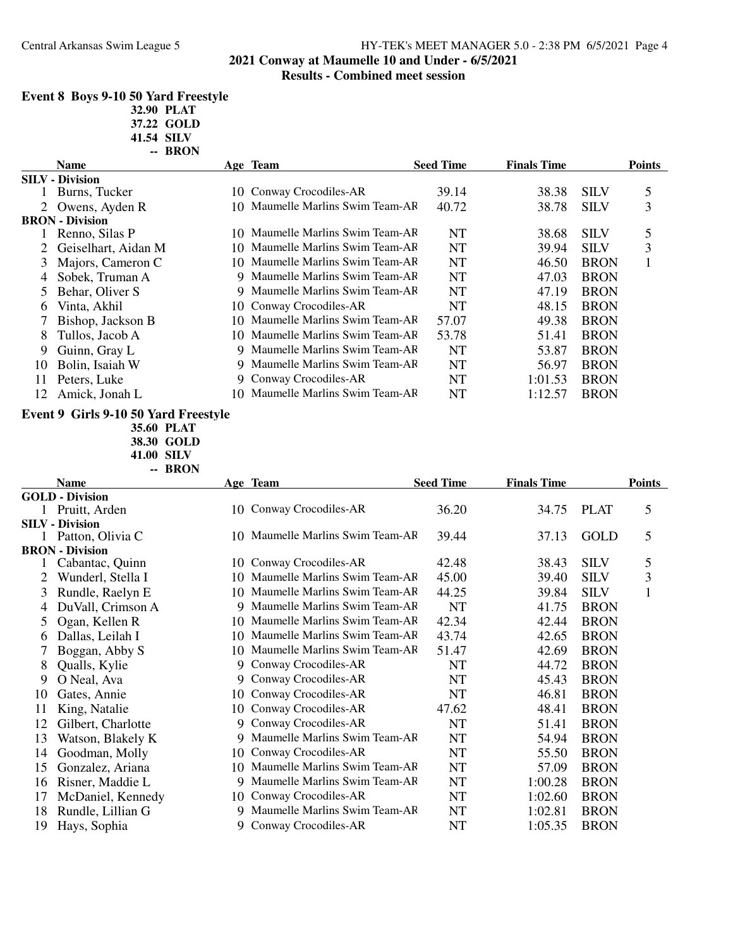### Central Arkansas Swim League 5 HY-TEK's MEET MANAGER 5.0 - 2:38 PM 6/5/2021 Page 4 **2021 Conway at Maumelle 10 and Under - 6/5/2021**

## **Results - Combined meet session**

### **Event 8 Boys 9-10 50 Yard Freestyle 32.90 PLAT**

**37.22 GOLD**

**41.54 SILV**

|    | -- BRON                |     |                                  |                  |                    |             |               |
|----|------------------------|-----|----------------------------------|------------------|--------------------|-------------|---------------|
|    | <b>Name</b>            |     | Age Team                         | <b>Seed Time</b> | <b>Finals Time</b> |             | <b>Points</b> |
|    | <b>SILV</b> - Division |     |                                  |                  |                    |             |               |
|    | Burns, Tucker          | 10  | Conway Crocodiles-AR             | 39.14            | 38.38              | <b>SILV</b> | 5             |
|    | 2 Owens, Ayden R       | 10. | Maumelle Marlins Swim Team-AF    | 40.72            | 38.78              | <b>SILV</b> | 3             |
|    | <b>BRON</b> - Division |     |                                  |                  |                    |             |               |
|    | Renno, Silas P         | 10. | Maumelle Marlins Swim Team-AF    | NT               | 38.68              | <b>SILV</b> | 5             |
|    | Geiselhart, Aidan M    |     | 10 Maumelle Marlins Swim Team-AR | <b>NT</b>        | 39.94              | <b>SILV</b> | 3             |
| 3  | Majors, Cameron C      |     | 10 Maumelle Marlins Swim Team-AR | <b>NT</b>        | 46.50              | <b>BRON</b> |               |
| 4  | Sobek, Truman A        | 9   | Maumelle Marlins Swim Team-AF    | NT               | 47.03              | <b>BRON</b> |               |
| 5. | Behar, Oliver S        |     | 9 Maumelle Marlins Swim Team-AF  | <b>NT</b>        | 47.19              | <b>BRON</b> |               |
| 6  | Vinta, Akhil           | 10  | Conway Crocodiles-AR             | <b>NT</b>        | 48.15              | <b>BRON</b> |               |
|    | Bishop, Jackson B      |     | 10 Maumelle Marlins Swim Team-AF | 57.07            | 49.38              | <b>BRON</b> |               |
| 8  | Tullos, Jacob A        |     | 10 Maumelle Marlins Swim Team-AR | 53.78            | 51.41              | <b>BRON</b> |               |
| 9  | Guinn, Gray L          |     | 9 Maumelle Marlins Swim Team-AF  | <b>NT</b>        | 53.87              | <b>BRON</b> |               |
| 10 | Bolin, Isaiah W        |     | 9 Maumelle Marlins Swim Team-AF  | <b>NT</b>        | 56.97              | <b>BRON</b> |               |
| 11 | Peters, Luke           | 9   | Conway Crocodiles-AR             | <b>NT</b>        | 1:01.53            | <b>BRON</b> |               |
| 12 | Amick, Jonah L         |     | 10 Maumelle Marlins Swim Team-AR | <b>NT</b>        | 1:12.57            | <b>BRON</b> |               |

#### **Event 9 Girls 9-10 50 Yard Freestyle**

**35.60 PLAT**

**38.30 GOLD**

**41.00 SILV**  $\bf{p}_{\bf{DOM}}$ 

|    | -- BKUN                |     |                                  |                  |                    |             |               |
|----|------------------------|-----|----------------------------------|------------------|--------------------|-------------|---------------|
|    | <b>Name</b>            |     | Age Team                         | <b>Seed Time</b> | <b>Finals Time</b> |             | <b>Points</b> |
|    | <b>GOLD - Division</b> |     |                                  |                  |                    |             |               |
|    | Pruitt, Arden          |     | 10 Conway Crocodiles-AR          | 36.20            | 34.75              | <b>PLAT</b> | 5             |
|    | <b>SILV</b> - Division |     |                                  |                  |                    |             |               |
|    | Patton, Olivia C       |     | 10 Maumelle Marlins Swim Team-AR | 39.44            | 37.13              | GOLD        | 5             |
|    | <b>BRON</b> - Division |     |                                  |                  |                    |             |               |
|    | Cabantac, Quinn        |     | 10 Conway Crocodiles-AR          | 42.48            | 38.43              | <b>SILV</b> | 5             |
| 2  | Wunderl, Stella I      | 10  | Maumelle Marlins Swim Team-AF    | 45.00            | 39.40              | <b>SILV</b> | 3             |
| 3  | Rundle, Raelyn E       | 10  | Maumelle Marlins Swim Team-AF    | 44.25            | 39.84              | <b>SILV</b> | 1             |
| 4  | DuVall, Crimson A      | 9   | Maumelle Marlins Swim Team-AR    | <b>NT</b>        | 41.75              | <b>BRON</b> |               |
| 5  | Ogan, Kellen R         | 10  | Maumelle Marlins Swim Team-AF    | 42.34            | 42.44              | <b>BRON</b> |               |
| 6  | Dallas, Leilah I       | 10  | Maumelle Marlins Swim Team-AF    | 43.74            | 42.65              | <b>BRON</b> |               |
|    | Boggan, Abby S         | 10  | Maumelle Marlins Swim Team-AF    | 51.47            | 42.69              | <b>BRON</b> |               |
| 8  | Qualls, Kylie          | 9   | Conway Crocodiles-AR             | <b>NT</b>        | 44.72              | <b>BRON</b> |               |
| 9  | O Neal, Ava            | 9   | Conway Crocodiles-AR             | <b>NT</b>        | 45.43              | <b>BRON</b> |               |
| 10 | Gates, Annie           | 10  | Conway Crocodiles-AR             | <b>NT</b>        | 46.81              | <b>BRON</b> |               |
| 11 | King, Natalie          | 10  | Conway Crocodiles-AR             | 47.62            | 48.41              | <b>BRON</b> |               |
| 12 | Gilbert, Charlotte     | 9   | Conway Crocodiles-AR             | <b>NT</b>        | 51.41              | <b>BRON</b> |               |
| 13 | Watson, Blakely K      | 9   | Maumelle Marlins Swim Team-AF    | <b>NT</b>        | 54.94              | <b>BRON</b> |               |
| 14 | Goodman, Molly         | 10. | Conway Crocodiles-AR             | NT               | 55.50              | <b>BRON</b> |               |
| 15 | Gonzalez, Ariana       | 10  | Maumelle Marlins Swim Team-AF    | NT               | 57.09              | <b>BRON</b> |               |
| 16 | Risner, Maddie L       | 9   | Maumelle Marlins Swim Team-AF    | NT               | 1:00.28            | <b>BRON</b> |               |
| 17 | McDaniel, Kennedy      | 10  | Conway Crocodiles-AR             | NT               | 1:02.60            | <b>BRON</b> |               |
| 18 | Rundle, Lillian G      | 9   | Maumelle Marlins Swim Team-AF    | NT               | 1:02.81            | <b>BRON</b> |               |
| 19 | Hays, Sophia           | 9   | Conway Crocodiles-AR             | <b>NT</b>        | 1:05.35            | <b>BRON</b> |               |
|    |                        |     |                                  |                  |                    |             |               |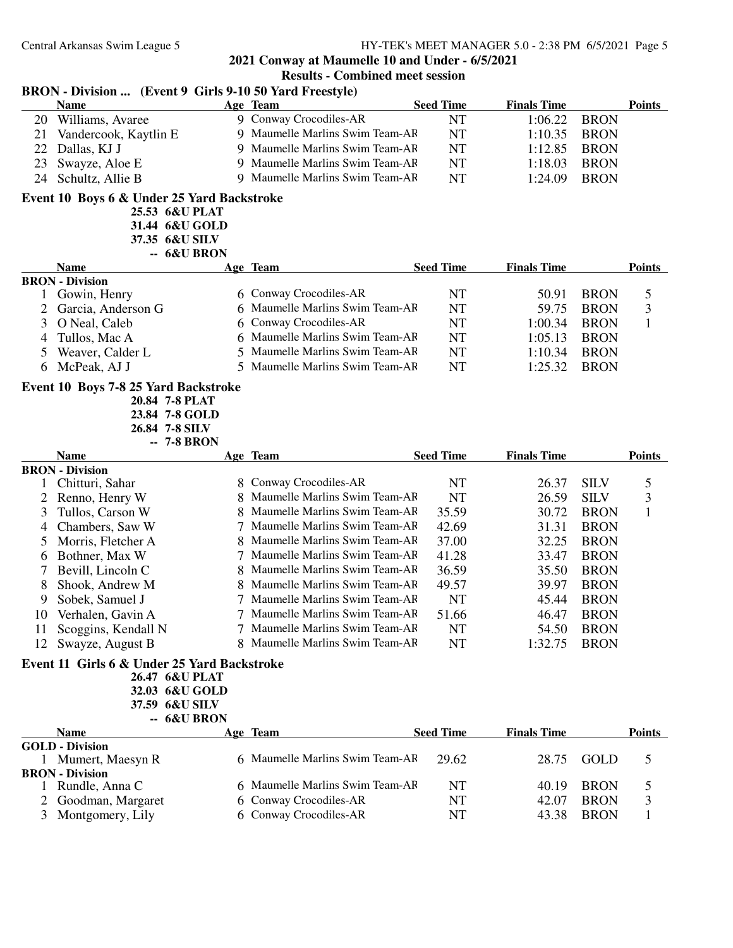#### **BRON - Division ... (Event 9 Girls 9-10 50 Yard Freestyle) Name Team Age Seed Time Points Finals Time** 20 Williams, Avaree 9 Conway Crocodiles-AR NT 1:06.22 BRON 21 Vandercook, Kaytlin E 9 Maumelle Marlins Swim Team-AR NT 1:10.35 BRON 22 Dallas, KJ J 9 Maumelle Marlins Swim Team-AF NT 1:12.85 BRON 23 Swayze, Aloe E 9 Maumelle Marlins Swim Team-AF NT 1:18.03 BRON 24 Schultz, Allie B 9 Maumelle Marlins Swim Team-AF NT 1:24.09 BRON **Event 10 Boys 6 & Under 25 Yard Backstroke 25.53 6&U PLAT 31.44 6&U GOLD 37.35 6&U SILV -- 6&U BRON Name Team Age Seed Time Points Finals Time BRON - Division**<br>1 Gowin, Henry 1 Gonway Crocodiles-AR NT 50.91 BRON 5<br>
1 Gonamelle Marlins Swim Team-AR NT 59.75 BRON 3 2 Garcia, Anderson G 6 Maumelle Marlins Swim Team-AF NT 59.75 BRON 3 O Neal, Caleb 6 Conway Crocodiles-AR NT 1:00.34 BRON 1 4 Tullos, Mac A 6 Maumelle Marlins Swim Team-AR NT 1:05.13 BRON 5 Weaver, Calder L<br>
5 Maumelle Marlins Swim Team-AR NT 1:10.34 BRON<br>
5 Maumelle Marlins Swim Team-AR NT 1:25.32 BRON 5 Maumelle Marlins Swim Team-AR NT 1:25.32 BRON **Event 10 Boys 7-8 25 Yard Backstroke 20.84 7-8 PLAT 23.84 7-8 GOLD 26.84 7-8 SILV -- 7-8 BRON Name Team Age Seed Time Points Finals Time BRON - Division** 1 Chitturi, Sahar 8 Conway Crocodiles-AR NT 26.37 SILV 5 2 Renno, Henry W 8 Maumelle Marlins Swim Team-AF NT 26.59 SILV 3 3 Tullos, Carson W 8 Maumelle Marlins Swim Team-AF 35.59 30.72 BRON 1 4 Chambers, Saw W 7 Maumelle Marlins Swim Team-AR 42.69 31.31 BRON 5 Morris, Fletcher A 8 Maumelle Marlins Swim Team-AF 37.00 32.25 BRON<br>6 Bothner. Max W 7 Maumelle Marlins Swim Team-AF 41.28 33.47 BRON 6 Bothner, Max W 7 Maumelle Marlins Swim Team-AR 41.28 33.47 BRON 7 Bevill, Lincoln C 8 Maumelle Marlins Swim Team-AF 36.59 35.50 BRON<br>8 Shook, Andrew M 8 Maumelle Marlins Swim Team-AF 49.57 39.97 BRON 8 Shook, Andrew M 8 Maumelle Marlins Swim Team-AF 49.57 39.97 BRON 9 Sobek, Samuel J 7 Maumelle Marlins Swim Team-AF NT 45.44 BRON 10 Verhalen, Gavin A 7 Maumelle Marlins Swim Team-AF 51.66 46.47 BRON 11 Scoggins, Kendall N 7 Maumelle Marlins Swim Team-AF NT 54.50 BRON 12 Swayze, August B 8 Maumelle Marlins Swim Team-AR NT 1:32.75 BRON **Event 11 Girls 6 & Under 25 Yard Backstroke 26.47 6&U PLAT 32.03 6&U GOLD 37.59 6&U SILV -- 6&U BRON Name Team Age Seed Time Points Finals Time GOLD - Division** 1 6 Maumelle Marlins Swim Team-AR 29.62 28.75 GOLD 5 **BRON - Division** 6 Maumelle Marlins Swim Team-AR NT 40.19 BRON 5 2 Goodman, Margaret 6 Conway Crocodiles-AR NT 42.07 BRON 3<br>3 Montgomery. Lily 6 Conway Crocodiles-AR NT 43.38 BRON 1 3 Montgomery, Lily 6 Conway Crocodiles-AR NT 43.38 BRON 1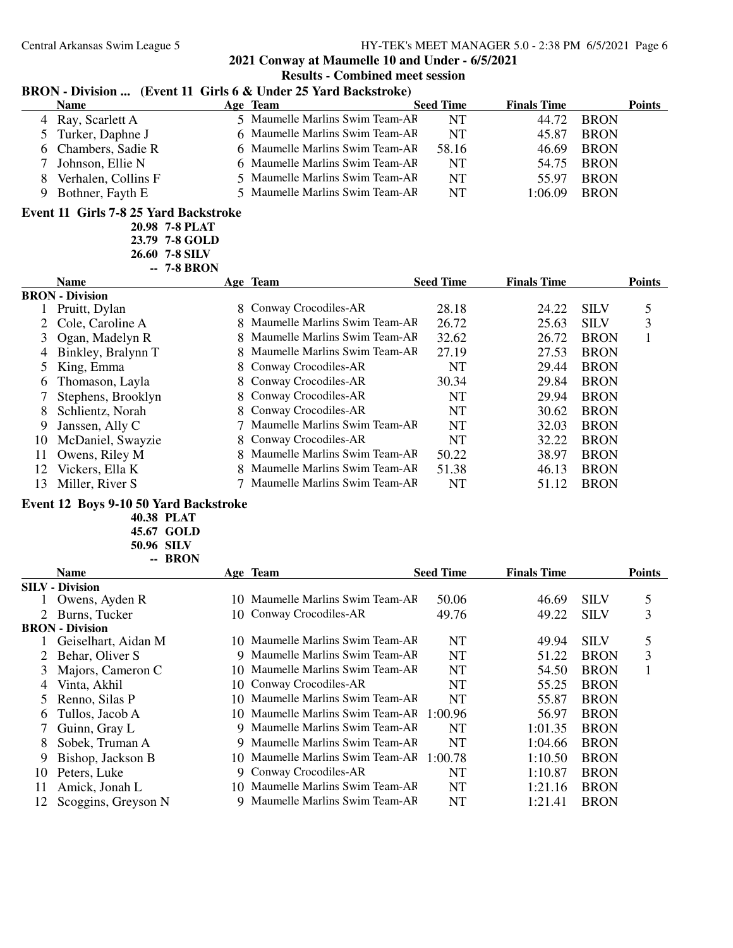**2021 Conway at Maumelle 10 and Under - 6/5/2021**

# **Results - Combined meet session**

# **BRON - Division ... (Event 11 Girls 6 & Under 25 Yard Backstroke)**

|   | <b>Name</b>         | Age Team                        | <b>Seed Time</b> | <b>Finals Time</b> | Points      |
|---|---------------------|---------------------------------|------------------|--------------------|-------------|
|   | 4 Ray, Scarlett A   | 5 Maumelle Marlins Swim Team-AF | NT               | 44.72              | <b>BRON</b> |
|   | 5 Turker, Daphne J  | 6 Maumelle Marlins Swim Team-AF | <b>NT</b>        | 45.87              | <b>BRON</b> |
|   | 6 Chambers, Sadie R | 6 Maumelle Marlins Swim Team-AF | 58.16            | 46.69              | <b>BRON</b> |
|   | Johnson, Ellie N    | 6 Maumelle Marlins Swim Team-AF | NT               | 54.75              | <b>BRON</b> |
| x | Verhalen, Collins F | 5 Maumelle Marlins Swim Team-AR | <b>NT</b>        | 55.97              | <b>BRON</b> |
|   | Bothner, Fayth E    | 5 Maumelle Marlins Swim Team-AF | NT               | 1:06.09            | <b>BRON</b> |
|   |                     |                                 |                  |                    |             |

#### **Event 11 Girls 7-8 25 Yard Backstroke**

| 20.98 7-8 PLAT |
|----------------|
| 23.79 7-8 GOLD |
| 26.60 7-8 SH V |
| --  7-8 BRON   |

|    | <b>Name</b>            | Age Team                        | <b>Seed Time</b> | <b>Finals Time</b> |             | <b>Points</b> |
|----|------------------------|---------------------------------|------------------|--------------------|-------------|---------------|
|    | <b>BRON</b> - Division |                                 |                  |                    |             |               |
|    | Pruitt, Dylan          | 8 Conway Crocodiles-AR          | 28.18            | 24.22              | <b>SILV</b> |               |
|    | 2 Cole, Caroline A     | 8 Maumelle Marlins Swim Team-AF | 26.72            | 25.63              | <b>SILV</b> | 3             |
|    | Ogan, Madelyn R        | 8 Maumelle Marlins Swim Team-AF | 32.62            | 26.72              | <b>BRON</b> |               |
| 4  | Binkley, Bralynn T     | 8 Maumelle Marlins Swim Team-AF | 27.19            | 27.53              | <b>BRON</b> |               |
|    | King, Emma             | 8 Conway Crocodiles-AR          | NT               | 29.44              | <b>BRON</b> |               |
| 6  | Thomason, Layla        | 8 Conway Crocodiles-AR          | 30.34            | 29.84              | <b>BRON</b> |               |
|    | Stephens, Brooklyn     | 8 Conway Crocodiles-AR          | NT               | 29.94              | <b>BRON</b> |               |
| 8  | Schlientz, Norah       | 8 Conway Crocodiles-AR          | NT               | 30.62              | <b>BRON</b> |               |
| 9  | Janssen, Ally C        | 7 Maumelle Marlins Swim Team-AF | <b>NT</b>        | 32.03              | <b>BRON</b> |               |
| 10 | McDaniel, Swayzie      | 8 Conway Crocodiles-AR          | <b>NT</b>        | 32.22              | <b>BRON</b> |               |
| 11 | Owens, Riley M         | 8 Maumelle Marlins Swim Team-AF | 50.22            | 38.97              | <b>BRON</b> |               |
| 12 | Vickers, Ella K        | 8 Maumelle Marlins Swim Team-AF | 51.38            | 46.13              | <b>BRON</b> |               |
| 13 | Miller, River S        | 7 Maumelle Marlins Swim Team-AF | NT               | 51.12              | <b>BRON</b> |               |

#### **Event 12 Boys 9-10 50 Yard Backstroke**

**40.38 PLAT**

**45.67 GOLD 50.96 SILV -- BRON**

|     | <b>Name</b>            |     | Age Team                         | <b>Seed Time</b> | <b>Finals Time</b> |             | <b>Points</b> |
|-----|------------------------|-----|----------------------------------|------------------|--------------------|-------------|---------------|
|     | <b>SILV - Division</b> |     |                                  |                  |                    |             |               |
|     | Owens, Ayden R         | 10. | Maumelle Marlins Swim Team-AF    | 50.06            | 46.69              | <b>SILV</b> | 5             |
|     | 2 Burns, Tucker        |     | 10 Conway Crocodiles-AR          | 49.76            | 49.22              | <b>SILV</b> | 3             |
|     | <b>BRON - Division</b> |     |                                  |                  |                    |             |               |
|     | Geiselhart, Aidan M    |     | 10 Maumelle Marlins Swim Team-AF | NT               | 49.94              | <b>SILV</b> | 5             |
|     | Behar, Oliver S        | 9   | Maumelle Marlins Swim Team-AF    | NT               | 51.22              | <b>BRON</b> | 3             |
| 3   | Majors, Cameron C      |     | 10 Maumelle Marlins Swim Team-AF | NT               | 54.50              | <b>BRON</b> | 1             |
| 4   | Vinta, Akhil           |     | 10 Conway Crocodiles-AR          | NT               | 55.25              | <b>BRON</b> |               |
| 5.  | Renno, Silas P         |     | 10 Maumelle Marlins Swim Team-AF | NT               | 55.87              | <b>BRON</b> |               |
| 6   | Tullos, Jacob A        |     | 10 Maumelle Marlins Swim Team-AF | 1:00.96          | 56.97              | <b>BRON</b> |               |
|     | Guinn, Gray L          |     | 9 Maumelle Marlins Swim Team-AF  | NT               | 1:01.35            | <b>BRON</b> |               |
| 8   | Sobek, Truman A        |     | 9 Maumelle Marlins Swim Team-AF  | <b>NT</b>        | 1:04.66            | <b>BRON</b> |               |
| 9   | Bishop, Jackson B      |     | 10 Maumelle Marlins Swim Team-AR | 1:00.78          | 1:10.50            | <b>BRON</b> |               |
| 10  | Peters, Luke           |     | 9 Conway Crocodiles-AR           | <b>NT</b>        | 1:10.87            | <b>BRON</b> |               |
| 11  | Amick, Jonah L         |     | 10 Maumelle Marlins Swim Team-AF | NT               | 1:21.16            | <b>BRON</b> |               |
| 12. | Scoggins, Greyson N    |     | 9 Maumelle Marlins Swim Team-AF  | <b>NT</b>        | 1:21.41            | <b>BRON</b> |               |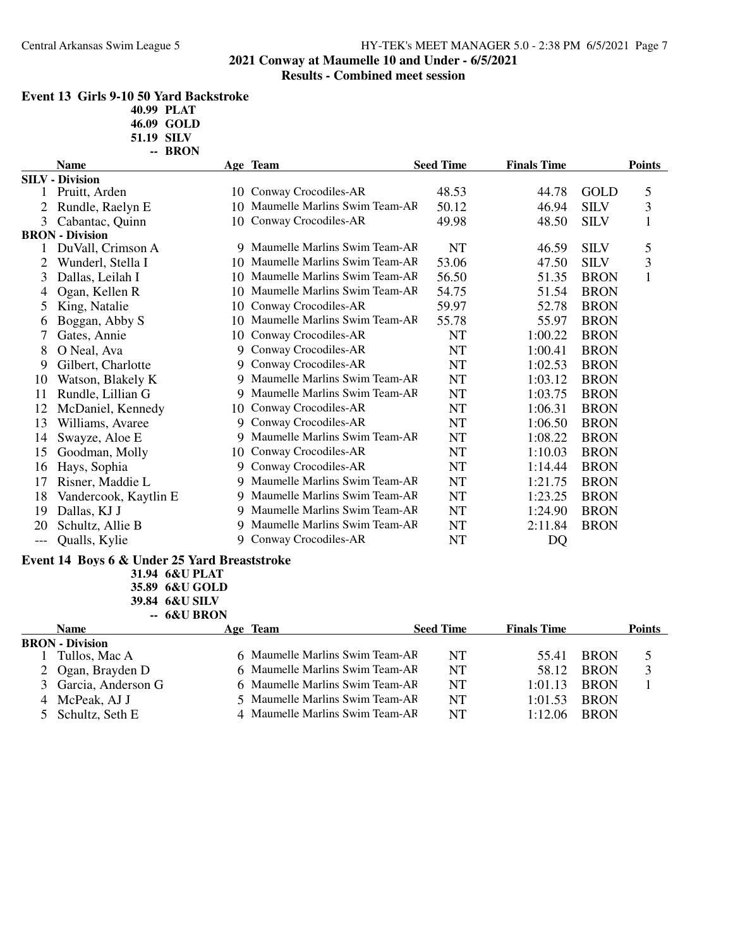### Central Arkansas Swim League 5 HY-TEK's MEET MANAGER 5.0 - 2:38 PM 6/5/2021 Page 7 **2021 Conway at Maumelle 10 and Under - 6/5/2021**

### **Results - Combined meet session**

| Event 13  Girls 9-10 50 Yard Backstroke |
|-----------------------------------------|
|-----------------------------------------|

**40.99 PLAT**

**46.09 GOLD**

| <b>Points</b>                                                                                                                                                     |
|-------------------------------------------------------------------------------------------------------------------------------------------------------------------|
|                                                                                                                                                                   |
| 5                                                                                                                                                                 |
| 3                                                                                                                                                                 |
| $\mathbf{1}$                                                                                                                                                      |
|                                                                                                                                                                   |
| 5                                                                                                                                                                 |
| 3                                                                                                                                                                 |
| $\mathbf{1}$                                                                                                                                                      |
|                                                                                                                                                                   |
|                                                                                                                                                                   |
|                                                                                                                                                                   |
|                                                                                                                                                                   |
|                                                                                                                                                                   |
|                                                                                                                                                                   |
|                                                                                                                                                                   |
|                                                                                                                                                                   |
|                                                                                                                                                                   |
|                                                                                                                                                                   |
|                                                                                                                                                                   |
|                                                                                                                                                                   |
|                                                                                                                                                                   |
|                                                                                                                                                                   |
|                                                                                                                                                                   |
|                                                                                                                                                                   |
|                                                                                                                                                                   |
|                                                                                                                                                                   |
| <b>BRON</b><br><b>BRON</b><br><b>BRON</b><br><b>BRON</b><br><b>BRON</b><br><b>BRON</b><br><b>BRON</b><br><b>BRON</b><br><b>BRON</b><br><b>BRON</b><br><b>BRON</b> |

#### **Event 14 Boys 6 & Under 25 Yard Breaststroke**

**31.94 6&U PLAT 35.89 6&U GOLD**

**39.84 6&U SILV**

**-- 6&U BRON**

| <b>Name</b>            | Age Team                        | <b>Seed Time</b> | <b>Finals Time</b> |             | <b>Points</b> |
|------------------------|---------------------------------|------------------|--------------------|-------------|---------------|
| <b>BRON</b> - Division |                                 |                  |                    |             |               |
| Tullos, Mac A          | 6 Maumelle Marlins Swim Team-AR | NT               | 55.41              | <b>BRON</b> |               |
| 2 Ogan, Brayden D      | 6 Maumelle Marlins Swim Team-AR | <b>NT</b>        | 58.12              | <b>BRON</b> |               |
| 3 Garcia, Anderson G   | 6 Maumelle Marlins Swim Team-AF | <b>NT</b>        | 1:01.13            | <b>BRON</b> |               |
| 4 McPeak, AJ J         | 5 Maumelle Marlins Swim Team-AR | <b>NT</b>        | 1:01.53            | <b>BRON</b> |               |
| 5 Schultz, Seth E      | 4 Maumelle Marlins Swim Team-AF | <b>NT</b>        | 1.12.06            | <b>BRON</b> |               |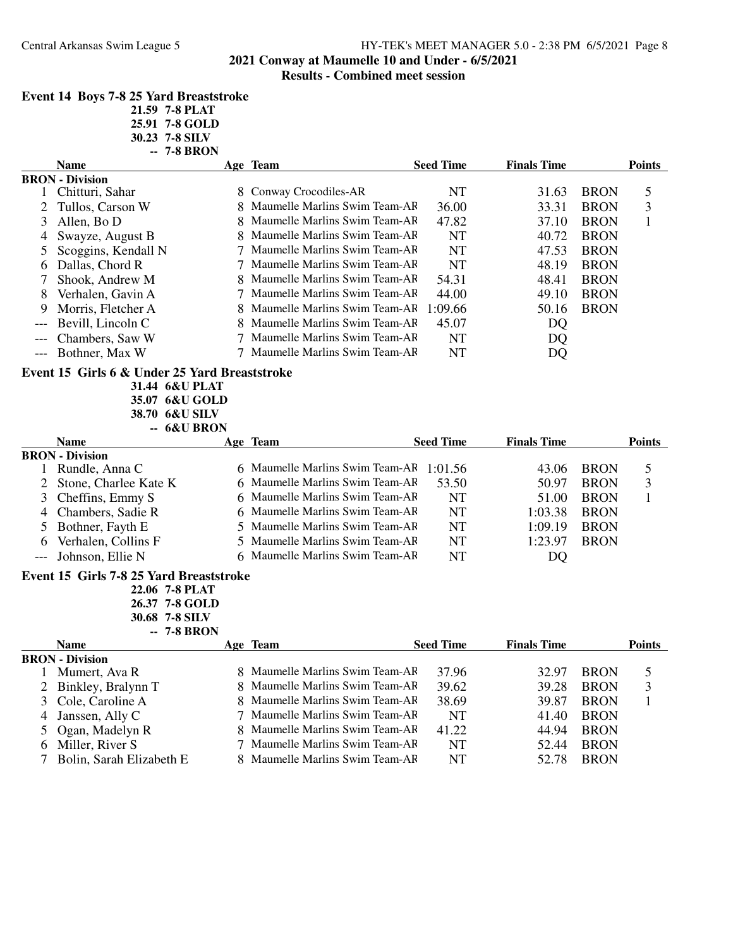# **2021 Conway at Maumelle 10 and Under - 6/5/2021**

## **Results - Combined meet session**

|  |  | <b>Event 14 Boys 7-8 25 Yard Breaststroke</b> |  |
|--|--|-----------------------------------------------|--|
|--|--|-----------------------------------------------|--|

| 21.59 7-8 PLAT |
|----------------|
| 25.91 7-8 GOLD |
| 30.23 7-8 SILV |

|              |                                               | -- 7-8 BRON                                        |                                 |                  |                    |             |               |
|--------------|-----------------------------------------------|----------------------------------------------------|---------------------------------|------------------|--------------------|-------------|---------------|
|              | <b>Name</b>                                   |                                                    | <b>Age Team</b>                 | <b>Seed Time</b> | <b>Finals Time</b> |             | <b>Points</b> |
|              | <b>BRON</b> - Division                        |                                                    |                                 |                  |                    |             |               |
| 1            | Chitturi, Sahar                               |                                                    | 8 Conway Crocodiles-AR          | <b>NT</b>        | 31.63              | <b>BRON</b> | 5             |
| 2            | Tullos, Carson W                              |                                                    | 8 Maumelle Marlins Swim Team-AR | 36.00            | 33.31              | <b>BRON</b> | 3             |
| 3            | Allen, Bo D                                   | 8                                                  | Maumelle Marlins Swim Team-AF   | 47.82            | 37.10              | <b>BRON</b> | $\mathbf{1}$  |
| 4            | Swayze, August B                              |                                                    | 8 Maumelle Marlins Swim Team-AF | <b>NT</b>        | 40.72              | <b>BRON</b> |               |
| 5            | Scoggins, Kendall N                           |                                                    | Maumelle Marlins Swim Team-AR   | <b>NT</b>        | 47.53              | <b>BRON</b> |               |
| 6            | Dallas, Chord R                               |                                                    | Maumelle Marlins Swim Team-AF   | <b>NT</b>        | 48.19              | <b>BRON</b> |               |
| 7            | Shook, Andrew M                               |                                                    | Maumelle Marlins Swim Team-AF   | 54.31            | 48.41              | <b>BRON</b> |               |
| 8            | Verhalen, Gavin A                             | 7                                                  | Maumelle Marlins Swim Team-AF   | 44.00            | 49.10              | <b>BRON</b> |               |
| 9            | Morris, Fletcher A                            |                                                    | 8 Maumelle Marlins Swim Team-AF | 1:09.66          | 50.16              | <b>BRON</b> |               |
|              | Bevill, Lincoln C                             |                                                    | Maumelle Marlins Swim Team-AF   | 45.07            | DQ                 |             |               |
|              | Chambers, Saw W                               |                                                    | 7 Maumelle Marlins Swim Team-AR | NT               | DQ                 |             |               |
| $---$        | Bothner, Max W                                |                                                    | 7 Maumelle Marlins Swim Team-AF | <b>NT</b>        | DQ                 |             |               |
|              | Event 15 Girls 6 & Under 25 Yard Breaststroke | 31.44 6&U PLAT<br>35.07 6&U GOLD<br>38.70 6&U SILV |                                 |                  |                    |             |               |
|              |                                               | -- 6&U BRON                                        |                                 |                  |                    |             |               |
|              | <b>Name</b>                                   |                                                    | <u>Age Team</u>                 | <b>Seed Time</b> | <b>Finals Time</b> |             | <b>Points</b> |
|              | <b>BRON</b> - Division                        |                                                    |                                 |                  |                    |             |               |
| $\mathbf{I}$ | Rundle, Anna C                                |                                                    | 6 Maumelle Marlins Swim Team-AF | 1:01.56          | 43.06              | <b>BRON</b> | 5             |
| 2            | Stone, Charlee Kate K                         |                                                    | 6 Maumelle Marlins Swim Team-AR | 53.50            | 50.97              | <b>BRON</b> | 3             |
| 3            | Cheffins, Emmy S                              |                                                    | 6 Maumelle Marlins Swim Team-AF | <b>NT</b>        | 51.00              | <b>BRON</b> | $\mathbf{1}$  |
| 4            | Chambers, Sadie R                             |                                                    | 6 Maumelle Marlins Swim Team-AF | <b>NT</b>        | 1:03.38            | <b>BRON</b> |               |
|              | Bothner, Fayth E                              | 5                                                  | Maumelle Marlins Swim Team-AF   | <b>NT</b>        | 1:09.19            | <b>BRON</b> |               |
| 6            | Verhalen, Collins F                           | 5                                                  | Maumelle Marlins Swim Team-AF   | <b>NT</b>        | 1:23.97            | <b>BRON</b> |               |
| $---$        | Johnson, Ellie N                              |                                                    | 6 Maumelle Marlins Swim Team-AF | <b>NT</b>        | DQ                 |             |               |
|              | Event 15 Girls 7-8 25 Yard Breaststroke       | 22.06 7-8 PLAT                                     |                                 |                  |                    |             |               |
|              |                                               | 26.37 7-8 GOLD                                     |                                 |                  |                    |             |               |
|              |                                               | 30.68 7-8 SILV                                     |                                 |                  |                    |             |               |
|              |                                               | <b>7-8 BRON</b>                                    |                                 |                  |                    |             |               |
|              | <b>Name</b>                                   |                                                    | Age Team                        | <b>Seed Time</b> | <b>Finals Time</b> |             | <b>Points</b> |
|              | <b>BRON</b> - Division                        |                                                    |                                 |                  |                    |             |               |
|              | Mumert, Ava R                                 |                                                    | 8 Maumelle Marlins Swim Team-AR | 37.96            | 32.97              | <b>BRON</b> | 5             |
| 2            | Binkley, Bralynn T                            |                                                    | 8 Maumelle Marlins Swim Team-AF | 39.62            | 39.28              | <b>BRON</b> | 3             |
| 3            | Cole, Caroline A                              |                                                    | 8 Maumelle Marlins Swim Team-AF | 38.69            | 39.87              | <b>BRON</b> | 1             |
| 4            | Janssen, Ally C                               |                                                    | 7 Maumelle Marlins Swim Team-AF | <b>NT</b>        | 41.40              | <b>BRON</b> |               |
| 5            | Ogan, Madelyn R                               |                                                    | Maumelle Marlins Swim Team-AF   | 41.22            | 44.94              | <b>BRON</b> |               |
| 6            | Miller, River S                               |                                                    | 7 Maumelle Marlins Swim Team-AF | <b>NT</b>        | 52.44              | <b>BRON</b> |               |

7 Bolin, Sarah Elizabeth E 8 Maumelle Marlins Swim Team-AF NT 52.78 BRON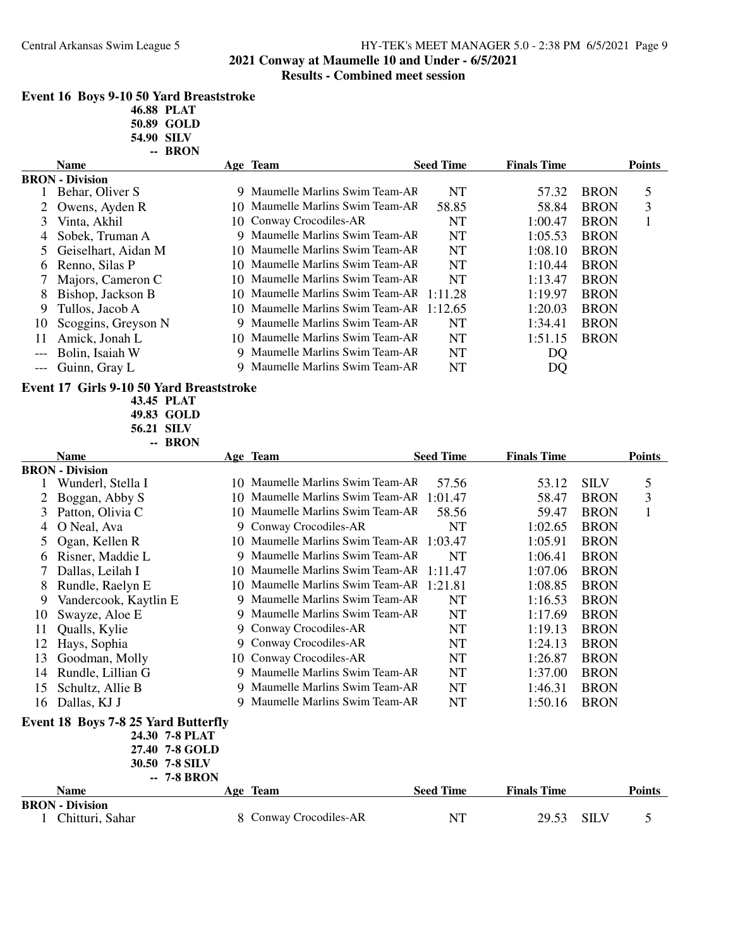# Central Arkansas Swim League 5 HY-TEK's MEET MANAGER 5.0 - 2:38 PM 6/5/2021 Page 9 **2021 Conway at Maumelle 10 and Under - 6/5/2021**

# **Results - Combined meet session**

|    | Event 16 Boys 9-10 50 Yard Breaststroke    | 46.88 PLAT<br>50.89 GOLD<br>54.90 SILV |                                  |                  |                    |             |               |
|----|--------------------------------------------|----------------------------------------|----------------------------------|------------------|--------------------|-------------|---------------|
|    |                                            | -- BRON                                |                                  |                  |                    |             |               |
|    | <b>Name</b>                                |                                        | Age Team                         | <b>Seed Time</b> | <b>Finals Time</b> |             | <b>Points</b> |
| 1  | <b>BRON</b> - Division<br>Behar, Oliver S  |                                        | 9 Maumelle Marlins Swim Team-AF  | NT               | 57.32              | <b>BRON</b> | 5             |
| 2  | Owens, Ayden R                             | 10                                     | Maumelle Marlins Swim Team-AR    | 58.85            | 58.84              | <b>BRON</b> | 3             |
| 3  | Vinta, Akhil                               | 10                                     | Conway Crocodiles-AR             | NT               | 1:00.47            | <b>BRON</b> | $\mathbf{1}$  |
| 4  | Sobek, Truman A                            | 9.                                     | Maumelle Marlins Swim Team-AR    | NT               | 1:05.53            | <b>BRON</b> |               |
| 5  | Geiselhart, Aidan M                        | 10                                     | Maumelle Marlins Swim Team-AF    | NT               | 1:08.10            | <b>BRON</b> |               |
| 6  | Renno, Silas P                             | 10                                     | Maumelle Marlins Swim Team-AF    | <b>NT</b>        | 1:10.44            | <b>BRON</b> |               |
| 7  | Majors, Cameron C                          | 10                                     | Maumelle Marlins Swim Team-AF    | <b>NT</b>        | 1:13.47            | <b>BRON</b> |               |
| 8  | Bishop, Jackson B                          | 10                                     | Maumelle Marlins Swim Team-AF    | 1:11.28          | 1:19.97            | <b>BRON</b> |               |
| 9  | Tullos, Jacob A                            | 10                                     | Maumelle Marlins Swim Team-AF    | 1:12.65          | 1:20.03            | <b>BRON</b> |               |
| 10 | Scoggins, Greyson N                        | 9                                      | Maumelle Marlins Swim Team-AF    | <b>NT</b>        | 1:34.41            | <b>BRON</b> |               |
| 11 | Amick, Jonah L                             | 10                                     | Maumelle Marlins Swim Team-AF    | NT               | 1:51.15            | <b>BRON</b> |               |
|    | Bolin, Isaiah W                            | 9                                      | Maumelle Marlins Swim Team-AF    | NT               | DQ                 |             |               |
|    | Guinn, Gray L                              |                                        | 9 Maumelle Marlins Swim Team-AF  | <b>NT</b>        | DQ                 |             |               |
|    |                                            |                                        |                                  |                  |                    |             |               |
|    | Event 17 Girls 9-10 50 Yard Breaststroke   |                                        |                                  |                  |                    |             |               |
|    |                                            | 43.45 PLAT                             |                                  |                  |                    |             |               |
|    |                                            | 49.83 GOLD                             |                                  |                  |                    |             |               |
|    |                                            | 56.21 SILV<br>-- BRON                  |                                  |                  |                    |             |               |
|    | <b>Name</b>                                |                                        | Age Team                         | <b>Seed Time</b> | <b>Finals Time</b> |             | <b>Points</b> |
|    | <b>BRON</b> - Division                     |                                        |                                  |                  |                    |             |               |
|    | Wunderl, Stella I                          |                                        | 10 Maumelle Marlins Swim Team-AR | 57.56            | 53.12              | <b>SILV</b> | 5             |
| 2  | Boggan, Abby S                             | 10                                     | Maumelle Marlins Swim Team-AF    | 1:01.47          | 58.47              | <b>BRON</b> | 3             |
| 3  | Patton, Olivia C                           | 10                                     | Maumelle Marlins Swim Team-AF    | 58.56            | 59.47              | <b>BRON</b> | $\mathbf{1}$  |
| 4  | O Neal, Ava                                | 9                                      | Conway Crocodiles-AR             | NT               | 1:02.65            | <b>BRON</b> |               |
| 5  | Ogan, Kellen R                             | 10.                                    | Maumelle Marlins Swim Team-AF    | 1:03.47          | 1:05.91            | <b>BRON</b> |               |
| 6  | Risner, Maddie L                           | 9                                      | Maumelle Marlins Swim Team-AF    | <b>NT</b>        | 1:06.41            | <b>BRON</b> |               |
| 7  | Dallas, Leilah I                           | 10                                     | Maumelle Marlins Swim Team-AF    | 1:11.47          | 1:07.06            | <b>BRON</b> |               |
| 8  | Rundle, Raelyn E                           | 10                                     | Maumelle Marlins Swim Team-AR    | 1:21.81          | 1:08.85            | <b>BRON</b> |               |
| 9  | Vandercook, Kaytlin E                      | 9                                      | Maumelle Marlins Swim Team-AF    | <b>NT</b>        | 1:16.53            | <b>BRON</b> |               |
| 10 | Swayze, Aloe E                             | 9.                                     | Maumelle Marlins Swim Team-AF    | <b>NT</b>        | 1:17.69            | <b>BRON</b> |               |
| 11 | Qualls, Kylie                              |                                        | 9 Conway Crocodiles-AR           | <b>NT</b>        | 1:19.13            | <b>BRON</b> |               |
| 12 | Hays, Sophia                               | 9                                      | Conway Crocodiles-AR             | NT               | 1:24.13            | <b>BRON</b> |               |
| 13 | Goodman, Molly                             | 10                                     | Conway Crocodiles-AR             | NT               | 1:26.87            | <b>BRON</b> |               |
| 14 | Rundle, Lillian G                          |                                        | 9 Maumelle Marlins Swim Team-AR  | NT               | 1:37.00            | <b>BRON</b> |               |
| 15 | Schultz, Allie B                           | 9                                      | Maumelle Marlins Swim Team-AF    | NT               | 1:46.31            | <b>BRON</b> |               |
| 16 | Dallas, KJ J                               | 9                                      | Maumelle Marlins Swim Team-AF    | <b>NT</b>        | 1:50.16            | <b>BRON</b> |               |
|    |                                            |                                        |                                  |                  |                    |             |               |
|    | <b>Event 18 Boys 7-8 25 Yard Butterfly</b> |                                        |                                  |                  |                    |             |               |
|    |                                            | 24.30 7-8 PLAT<br>27.40 7-8 GOLD       |                                  |                  |                    |             |               |
|    |                                            | 30.50 7-8 SILV                         |                                  |                  |                    |             |               |
|    |                                            | -- 7-8 BRON                            |                                  |                  |                    |             |               |
|    | <b>Name</b>                                |                                        | Age Team                         | <b>Seed Time</b> | <b>Finals Time</b> |             | <b>Points</b> |
|    | <b>BRON</b> - Division                     |                                        |                                  |                  |                    |             |               |
|    | 1 Chitturi, Sahar                          |                                        | 8 Conway Crocodiles-AR           | NT               | 29.53              | <b>SILV</b> | 5             |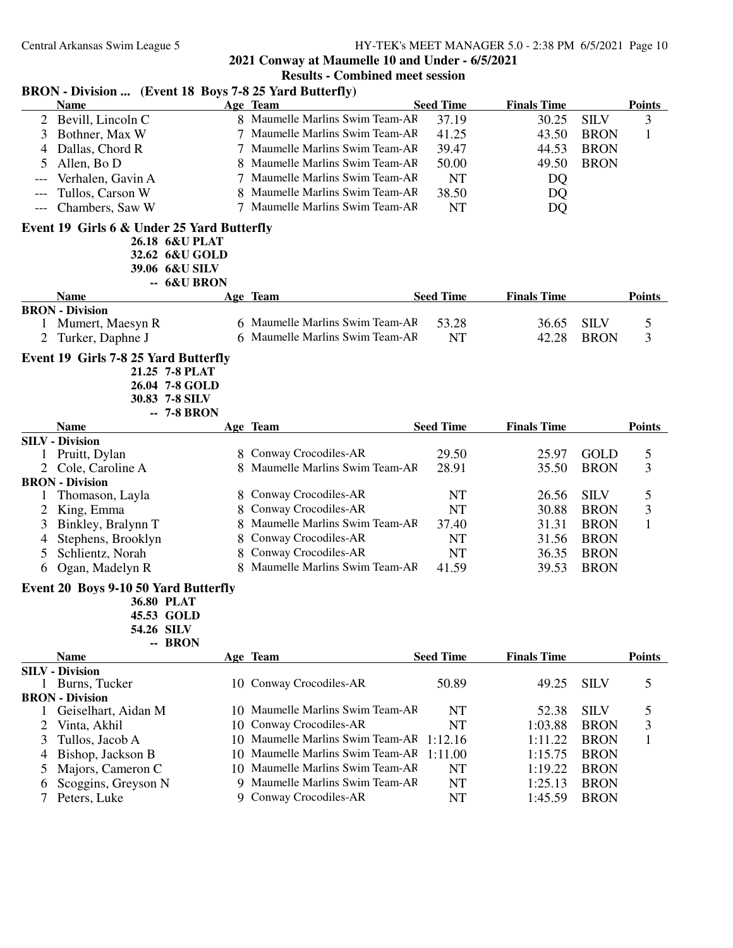## **2021 Conway at Maumelle 10 and Under - 6/5/2021**

## **Results - Combined meet session BRON - Division ... (Event 18 Boys 7-8 25 Yard Butterfly) Name Team Age Seed Time Points Finals Time** 2 Bevill, Lincoln C 8 Maumelle Marlins Swim Team-AF 37.19 30.25 SILV 3 3 Bothner, Max W 7 Maumelle Marlins Swim Team-AF 41.25 43.50 BRON 1 4 Dallas, Chord R 7 Maumelle Marlins Swim Team-AR 39.47 44.53 BRON 5 Allen, Bo D 8 Maumelle Marlins Swim Team-AF 50.00 49.50 BRON --- Verhalen, Gavin A 7 Maumelle Marlins Swim Team-AF NT DQ --- Tullos, Carson W 8 Maumelle Marlins Swim Team-AR 38.50 DQ Chambers, Saw W 7 Maumelle Marlins Swim Team-AF NT DO **Event 19 Girls 6 & Under 25 Yard Butterfly 26.18 6&U PLAT 32.62 6&U GOLD 39.06 6&U SILV -- 6&U BRON Name Team Age Seed Time Points Finals Time BRON - Division**<br>1 Mumert, Maesyn R 1 6 Maumelle Marlins Swim Team-AR 53.28 36.65 SILV 5 2 Turker, Daphne J 6 Maumelle Marlins Swim Team-AF NT 42.28 BRON 3 **Event 19 Girls 7-8 25 Yard Butterfly 21.25 7-8 PLAT 26.04 7-8 GOLD 30.83 7-8 SILV -- 7-8 BRON Name Team Age Seed Time Points Finals Time SILV - Division** 1 Pruitt, Dylan 8 Conway Crocodiles-AR 29.50 25.97 GOLD 5 2 Cole, Caroline A 8 Maumelle Marlins Swim Team-AF 28.91 35.50 BRON 3 **BRON - Division** 1 Thomason, Layla 8 Conway Crocodiles-AR NT 26.56 SILV 5 2 King, Emma 8 Conway Crocodiles-AR NT 30.88 BRON 3 3 Binkley, Bralynn T 8 Maumelle Marlins Swim Team-AF 37.40 31.31 BRON 1<br>4 Stephens, Brooklyn 8 Conway Crocodiles-AR NT 31.56 BRON 4 Stephens, Brooklyn 8 Conway Crocodiles-AR NT 31.56 BRON 5 Schlientz, Norah 8 Conway Crocodiles-AR NT 36.35 BRON 6 Ogan, Madelyn R 8 Maumelle Marlins Swim Team-AF 41.59 39.53 BRON **Event 20 Boys 9-10 50 Yard Butterfly 36.80 PLAT 45.53 GOLD 54.26 SILV -- BRON Name Team Age Seed Time Points Finals Time SILV - Division** 1 Burns, Tucker 10 Conway Crocodiles-AR 50.89 49.25 SILV 5 **BRON - Division**<br>1 Geiselhart, Aidan M 10 Maumelle Marlins Swim Team-AF NT 52.38 SILV 5 2 Vinta, Akhil 10 Conway Crocodiles-AR NT 1:03.88 BRON 3 3 Tullos, Jacob A 10 Maumelle Marlins Swim Team-AF 1:12.16 1:11.22 BRON 1 4 Bishop, Jackson B 10 Maumelle Marlins Swim Team-AR 1:11.00 1:15.75 BRON 5 Majors, Cameron C 10 Maumelle Marlins Swim Team-AR NT 1:19.22 BRON 6 Scoggins, Greyson N 9 Maumelle Marlins Swim Team-AR NT 1:25.13 BRON 7 Peters, Luke 9 Conway Crocodiles-AR NT 1:45.59 BRON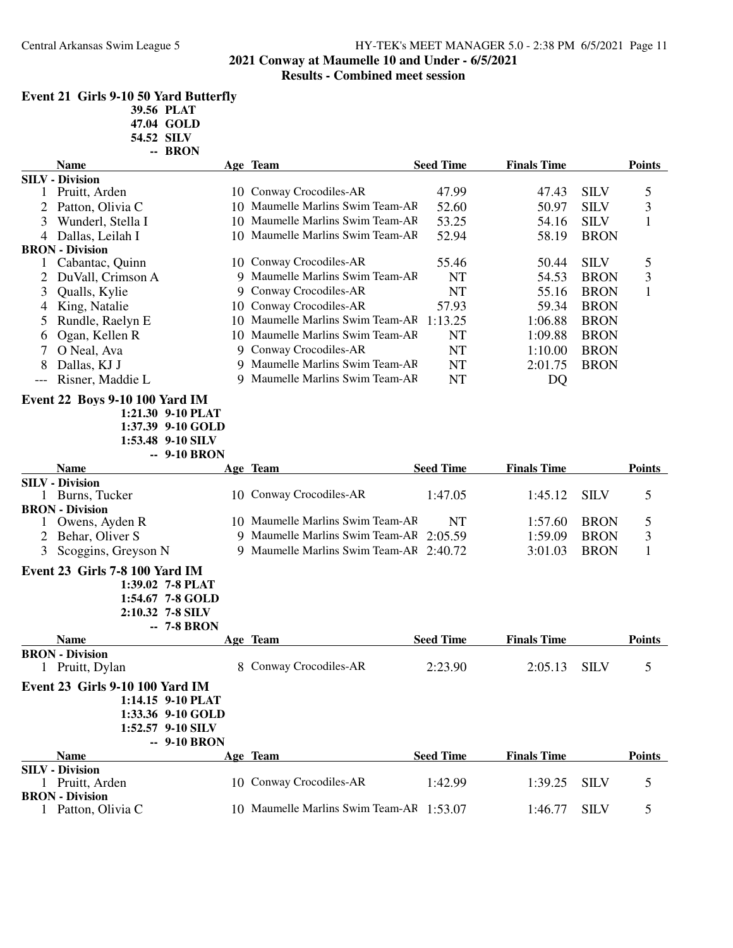# **2021 Conway at Maumelle 10 and Under - 6/5/2021**

## **Results - Combined meet session**

|          | Event 21 Girls 9-10 50 Yard Butterfly     |                   |                                         |                  |                    |             |               |
|----------|-------------------------------------------|-------------------|-----------------------------------------|------------------|--------------------|-------------|---------------|
|          |                                           | 39.56 PLAT        |                                         |                  |                    |             |               |
|          |                                           | 47.04 GOLD        |                                         |                  |                    |             |               |
|          |                                           | 54.52 SILV        |                                         |                  |                    |             |               |
|          | <b>Name</b>                               | -- BRON           | Age Team                                | <b>Seed Time</b> | <b>Finals Time</b> |             | <b>Points</b> |
|          | <b>SILV - Division</b>                    |                   |                                         |                  |                    |             |               |
| 1        | Pruitt, Arden                             |                   | 10 Conway Crocodiles-AR                 | 47.99            | 47.43              | <b>SILV</b> | 5             |
|          | 2 Patton, Olivia C                        |                   | 10 Maumelle Marlins Swim Team-AR        | 52.60            | 50.97              | <b>SILV</b> | 3             |
| 3        | Wunderl, Stella I                         |                   | 10 Maumelle Marlins Swim Team-AF        | 53.25            | 54.16              | <b>SILV</b> | 1             |
| 4        | Dallas, Leilah I                          |                   | 10 Maumelle Marlins Swim Team-AF        | 52.94            | 58.19              | <b>BRON</b> |               |
|          | <b>BRON</b> - Division                    |                   |                                         |                  |                    |             |               |
| $\bf{l}$ | Cabantac, Quinn                           |                   | 10 Conway Crocodiles-AR                 | 55.46            | 50.44              | <b>SILV</b> | 5             |
|          | DuVall, Crimson A                         | 9                 | Maumelle Marlins Swim Team-AF           | NT               | 54.53              | <b>BRON</b> | 3             |
| 3        | Qualls, Kylie                             | 9                 | Conway Crocodiles-AR                    | <b>NT</b>        | 55.16              | <b>BRON</b> | $\mathbf{1}$  |
| 4        | King, Natalie                             |                   | 10 Conway Crocodiles-AR                 | 57.93            | 59.34              | <b>BRON</b> |               |
| 5        | Rundle, Raelyn E                          |                   | 10 Maumelle Marlins Swim Team-AF        | 1:13.25          | 1:06.88            | <b>BRON</b> |               |
| 6        | Ogan, Kellen R                            |                   | 10 Maumelle Marlins Swim Team-AR        | <b>NT</b>        | 1:09.88            | <b>BRON</b> |               |
| 7        | O Neal, Ava                               |                   | 9 Conway Crocodiles-AR                  | <b>NT</b>        | 1:10.00            | <b>BRON</b> |               |
| 8        | Dallas, KJ J                              |                   | 9 Maumelle Marlins Swim Team-AF         | <b>NT</b>        | 2:01.75            | <b>BRON</b> |               |
|          |                                           |                   | 9 Maumelle Marlins Swim Team-AF         | <b>NT</b>        |                    |             |               |
| ---      | Risner, Maddie L                          |                   |                                         |                  | DQ                 |             |               |
|          | <b>Event 22 Boys 9-10 100 Yard IM</b>     |                   |                                         |                  |                    |             |               |
|          |                                           | 1:21.30 9-10 PLAT |                                         |                  |                    |             |               |
|          |                                           | 1:37.39 9-10 GOLD |                                         |                  |                    |             |               |
|          |                                           | 1:53.48 9-10 SILV |                                         |                  |                    |             |               |
|          |                                           |                   |                                         |                  |                    |             |               |
|          |                                           | -- 9-10 BRON      |                                         |                  |                    |             |               |
|          | <b>Name</b>                               |                   | Age Team                                | <b>Seed Time</b> | <b>Finals Time</b> |             | <b>Points</b> |
|          | <b>SILV</b> - Division                    |                   |                                         |                  |                    |             |               |
|          | 1 Burns, Tucker                           |                   | 10 Conway Crocodiles-AR                 | 1:47.05          | 1:45.12            | <b>SILV</b> | 5             |
|          | <b>BRON</b> - Division                    |                   |                                         |                  |                    |             |               |
| 1        | Owens, Ayden R                            |                   | 10 Maumelle Marlins Swim Team-AF        | NT               | 1:57.60            | <b>BRON</b> | 5             |
|          | 2 Behar, Oliver S                         |                   | 9 Maumelle Marlins Swim Team-AF         | 2:05.59          | 1:59.09            | <b>BRON</b> | 3             |
|          | 3 Scoggins, Greyson N                     |                   | 9 Maumelle Marlins Swim Team-AF 2:40.72 |                  | 3:01.03            | <b>BRON</b> | 1             |
|          | Event 23 Girls 7-8 100 Yard IM            |                   |                                         |                  |                    |             |               |
|          |                                           | 1:39.02 7-8 PLAT  |                                         |                  |                    |             |               |
|          |                                           | 1:54.67 7-8 GOLD  |                                         |                  |                    |             |               |
|          |                                           | 2:10.32 7-8 SILV  |                                         |                  |                    |             |               |
|          |                                           | <b>7-8 BRON</b>   |                                         |                  |                    |             |               |
|          | <b>Name</b>                               |                   | Age Team                                | <b>Seed Time</b> | <b>Finals Time</b> |             | <b>Points</b> |
|          | <b>BRON</b> - Division                    |                   |                                         |                  |                    |             |               |
|          | 1 Pruitt, Dylan                           |                   | 8 Conway Crocodiles-AR                  | 2:23.90          | 2:05.13            | <b>SILV</b> | 5             |
|          | <b>Event 23 Girls 9-10 100 Yard IM</b>    |                   |                                         |                  |                    |             |               |
|          |                                           | 1:14.15 9-10 PLAT |                                         |                  |                    |             |               |
|          |                                           | 1:33.36 9-10 GOLD |                                         |                  |                    |             |               |
|          |                                           | 1:52.57 9-10 SILV |                                         |                  |                    |             |               |
|          |                                           | -- 9-10 BRON      |                                         |                  |                    |             |               |
|          | <b>Name</b>                               |                   | Age Team                                | <b>Seed Time</b> | <b>Finals Time</b> |             | <b>Points</b> |
|          | <b>SILV - Division</b>                    |                   |                                         |                  |                    |             |               |
|          | 1 Pruitt, Arden<br><b>BRON</b> - Division |                   | 10 Conway Crocodiles-AR                 | 1:42.99          | 1:39.25            | <b>SILV</b> | 5             |